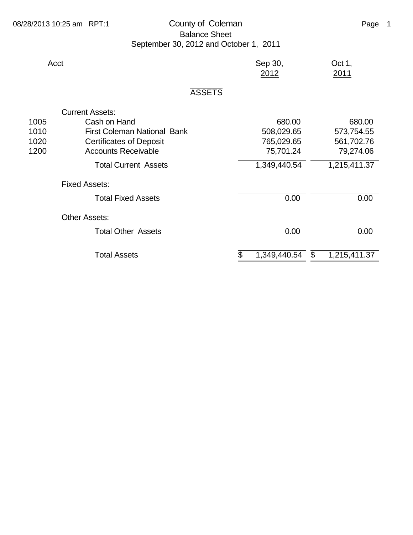## 08/28/2013 10:25 am RPT:1 County of Coleman County of Coleman Page 1 Balance Sheet September 30, 2012 and October 1, 2011

| Acct                                       | Sep 30,<br>2012    | Oct 1,<br>2011                 |  |  |  |  |
|--------------------------------------------|--------------------|--------------------------------|--|--|--|--|
| <b>ASSETS</b>                              |                    |                                |  |  |  |  |
| <b>Current Assets:</b>                     |                    |                                |  |  |  |  |
| Cash on Hand<br>1005                       | 680.00             | 680.00                         |  |  |  |  |
| <b>First Coleman National Bank</b><br>1010 | 508,029.65         | 573,754.55                     |  |  |  |  |
| 1020<br><b>Certificates of Deposit</b>     | 765,029.65         | 561,702.76                     |  |  |  |  |
| <b>Accounts Receivable</b><br>1200         | 75,701.24          | 79,274.06                      |  |  |  |  |
| <b>Total Current Assets</b>                | 1,349,440.54       | 1,215,411.37                   |  |  |  |  |
| <b>Fixed Assets:</b>                       |                    |                                |  |  |  |  |
| <b>Total Fixed Assets</b>                  | 0.00               | 0.00                           |  |  |  |  |
| <b>Other Assets:</b>                       |                    |                                |  |  |  |  |
| <b>Total Other Assets</b>                  | 0.00               | 0.00                           |  |  |  |  |
| <b>Total Assets</b>                        | 1,349,440.54<br>\$ | $\mathfrak{S}$<br>1,215,411.37 |  |  |  |  |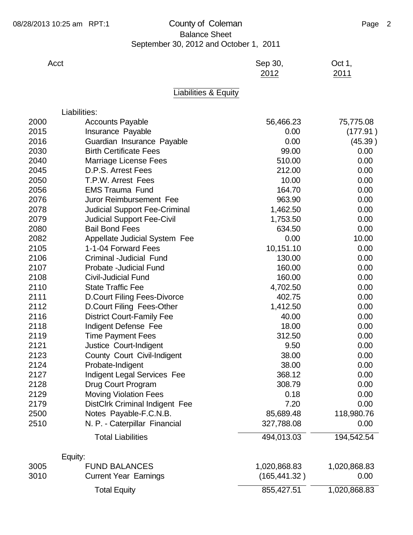## 08/28/2013 10:25 am RPT:1 County of Coleman County of Coleman Page 2 Balance Sheet September 30, 2012 and October 1, 2011

Acct example 30, Acct Sep 30, Acct 31, Sep 30,

|      |                                      | 2012      | 2011      |
|------|--------------------------------------|-----------|-----------|
|      | Liabilities & Equity                 |           |           |
|      | Liabilities:                         |           |           |
| 2000 | <b>Accounts Payable</b>              | 56,466.23 | 75,775.08 |
| 2015 | Insurance Payable                    | 0.00      | (177.91)  |
| 2016 | Guardian Insurance Payable           | 0.00      | (45.39)   |
| 2030 | <b>Birth Certificate Fees</b>        | 99.00     | 0.00      |
| 2040 | <b>Marriage License Fees</b>         | 510.00    | 0.00      |
| 2045 | D.P.S. Arrest Fees                   | 212.00    | 0.00      |
| 2050 | T.P.W. Arrest Fees                   | 10.00     | 0.00      |
| 2056 | <b>EMS Trauma Fund</b>               | 164.70    | 0.00      |
| 2076 | Juror Reimbursement Fee              | 963.90    | 0.00      |
| 2078 | <b>Judicial Support Fee-Criminal</b> | 1,462.50  | 0.00      |
| 2079 | <b>Judicial Support Fee-Civil</b>    | 1,753.50  | 0.00      |
| 2080 | <b>Bail Bond Fees</b>                | 634.50    | 0.00      |
| 2082 | Appellate Judicial System Fee        | 0.00      | 10.00     |
| 2105 | 1-1-04 Forward Fees                  | 10,151.10 | 0.00      |
| 2106 | Criminal -Judicial Fund              | 130.00    | 0.00      |
| 2107 | Probate - Judicial Fund              | 160.00    | 0.00      |
| 2108 | <b>Civil-Judicial Fund</b>           | 160.00    | 0.00      |
| 2110 | <b>State Traffic Fee</b>             | 4,702.50  | 0.00      |
| 2111 | <b>D.Court Filing Fees-Divorce</b>   | 402.75    | 0.00      |
| 2112 | D.Court Filing Fees-Other            | 1,412.50  | 0.00      |
| 2116 | <b>District Court-Family Fee</b>     | 40.00     | 0.00      |
| 2118 | Indigent Defense Fee                 | 18.00     | 0.00      |
| 2119 | <b>Time Payment Fees</b>             | 312.50    | 0.00      |
| 2121 | Justice Court-Indigent               | 9.50      | 0.00      |

|      | Equity:                      |               |              |
|------|------------------------------|---------------|--------------|
| 3005 | <b>FUND BALANCES</b>         | 1,020,868.83  | 1,020,868.83 |
| 3010 | <b>Current Year Earnings</b> | (165, 441.32) | 0.00         |
|      | Total Equity                 | 855,427.51    | 1,020,868.83 |

Total Liabilities **194,013.03** 194,542.54

2123 County Court Civil-Indigent 38.00 0.00 Probate-Indigent 38.00 0.00 2127 Indigent Legal Services Fee 368.12 0.00 Drug Court Program 308.79 0.00 2129 Moving Violation Fees 0.18 0.00 2179 DistClrk Criminal Indigent Fee 7.20 7.20 0.00 Notes Payable-F.C.N.B. 85,689.48 118,980.76 N. P. - Caterpillar Financial 327,788.08 0.00